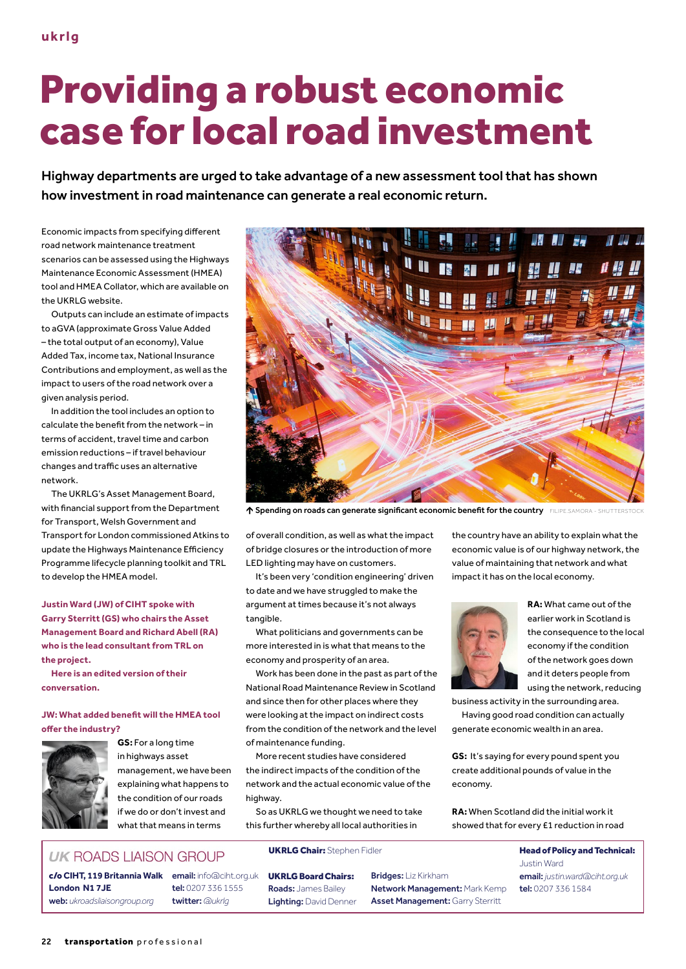# Providing a robust economic case for local road investment

Highway departments are urged to take advantage of a new assessment tool that has shown how investment in road maintenance can generate a real economic return.

Economic impacts from specifying different road network maintenance treatment scenarios can be assessed using the Highways Maintenance Economic Assessment (HMEA) tool and HMEA Collator, which are available on the UKRLG website.

Outputs can include an estimate of impacts to aGVA (approximate Gross Value Added – the total output of an economy), Value Added Tax, income tax, National Insurance Contributions and employment, as well as the impact to users of the road network over a given analysis period.

In addition the tool includes an option to calculate the benefit from the network – in terms of accident, travel time and carbon emission reductions – if travel behaviour changes and traffic uses an alternative network.

The UKRLG's Asset Management Board, with financial support from the Department for Transport, Welsh Government and Transport for London commissioned Atkins to update the Highways Maintenance Efficiency Programme lifecycle planning toolkit and TRL to develop the HMEA model.

**Justin Ward (JW) of CIHT spoke with Garry Sterritt (GS) who chairs the Asset Management Board and Richard Abell (RA) who is the lead consultant from TRL on the project.** 

**Here is an edited version of their conversation.**

## **JW: What added benefit will the HMEA tool offer the industry?**



**GS:** For a long time in highways asset management, we have been explaining what happens to the condition of our roads if we do or don't invest and what that means in terms



Spending on roads can generate significant economic benefit for the country FILIPE.SAMORA - SHUTTERSTOCK

of overall condition, as well as what the impact of bridge closures or the introduction of more LED lighting may have on customers.

It's been very 'condition engineering' driven to date and we have struggled to make the argument at times because it's not always tangible.

What politicians and governments can be more interested in is what that means to the economy and prosperity of an area.

Work has been done in the past as part of the National Road Maintenance Review in Scotland and since then for other places where they were looking at the impact on indirect costs from the condition of the network and the level of maintenance funding.

More recent studies have considered the indirect impacts of the condition of the network and the actual economic value of the highway.

So as UKRLG we thought we need to take this further whereby all local authorities in

the country have an ability to explain what the economic value is of our highway network, the value of maintaining that network and what impact it has on the local economy.



**RA:** What came out of the earlier work in Scotland is the consequence to the local economy if the condition of the network goes down and it deters people from using the network, reducing

business activity in the surrounding area.

Having good road condition can actually generate economic wealth in an area.

**GS:** It's saying for every pound spent you create additional pounds of value in the economy.

**RA:** When Scotland did the initial work it showed that for every £1 reduction in road

> Justin Ward email: *[justin.ward@ciht.org.uk](mailto:justin.ward%40ciht.org.uk?subject=)* tel: 0207 336 1584

## **UK ROADS LIAISON GROUP**

c/o **CIHT, 119 Britannia Walk** email: info@ciht.org.uk **London N1 7JE** web: *[ukroadsliaisongroup.org](http://www.ukroadsliaisongroup.org)*

tel: 0207 336 1555 twitter: *[@ukrlg](https://twitter.com/ukrlg)*

UKRLG Chair: Stephen Fidler **Head of Policy and Technical:** 

UKRLG Board Chairs: Roads: James Bailey Lighting: David Denner Bridges: Liz Kirkham Network Management: Mark Kemp Asset Management: Garry Sterritt